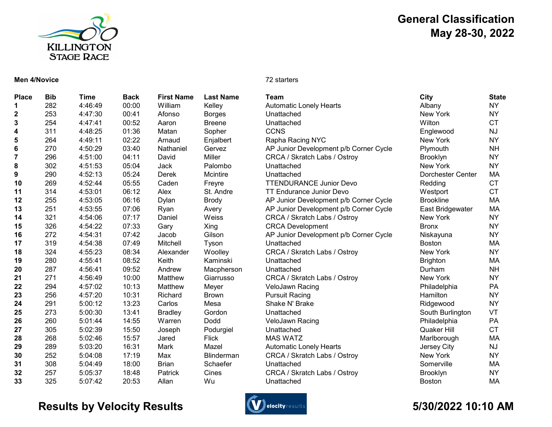

# General Classification May 28-30, 2022

### Men 4/Novice 72 starters

| <b>Place</b> | <b>Bib</b> | Time    | <b>Back</b> | <b>First Name</b> | <b>Last Name</b>  | Team                                   | <b>City</b>       | <b>State</b> |
|--------------|------------|---------|-------------|-------------------|-------------------|----------------------------------------|-------------------|--------------|
| 1            | 282        | 4:46:49 | 00:00       | William           | Kelley            | <b>Automatic Lonely Hearts</b>         | Albany            | NY           |
| 2            | 253        | 4:47:30 | 00:41       | Afonso            | <b>Borges</b>     | Unattached                             | New York          | <b>NY</b>    |
| 3            | 254        | 4:47:41 | 00:52       | Aaron             | <b>Breene</b>     | Unattached                             | Wilton            | <b>CT</b>    |
| 4            | 311        | 4:48:25 | 01:36       | Matan             | Sopher            | <b>CCNS</b>                            | Englewood         | <b>NJ</b>    |
| 5            | 264        | 4:49:11 | 02:22       | Arnaud            | Enjalbert         | Rapha Racing NYC                       | New York          | <b>NY</b>    |
| 6            | 270        | 4:50:29 | 03:40       | Nathaniel         | Gervez            | AP Junior Development p/b Corner Cycle | Plymouth          | <b>NH</b>    |
| 7            | 296        | 4:51:00 | 04:11       | David             | Miller            | CRCA / Skratch Labs / Ostroy           | <b>Brooklyn</b>   | <b>NY</b>    |
| 8            | 302        | 4:51:53 | 05:04       | Jack              | Palombo           | Unattached                             | New York          | <b>NY</b>    |
| 9            | 290        | 4:52:13 | 05:24       | Derek             | Mcintire          | Unattached                             | Dorchester Center | MA           |
| 10           | 269        | 4:52:44 | 05:55       | Caden             | Freyre            | <b>TTENDURANCE Junior Devo</b>         | Redding           | <b>CT</b>    |
| 11           | 314        | 4:53:01 | 06:12       | Alex              | St. Andre         | <b>TT Endurance Junior Devo</b>        | Westport          | <b>CT</b>    |
| 12           | 255        | 4:53:05 | 06:16       | Dylan             | <b>Brody</b>      | AP Junior Development p/b Corner Cycle | <b>Brookline</b>  | MA           |
| 13           | 251        | 4:53:55 | 07:06       | Ryan              | Avery             | AP Junior Development p/b Corner Cycle | East Bridgewater  | MA           |
| 14           | 321        | 4:54:06 | 07:17       | Daniel            | Weiss             | CRCA / Skratch Labs / Ostroy           | New York          | <b>NY</b>    |
| 15           | 326        | 4:54:22 | 07:33       | Gary              | Xing              | <b>CRCA Development</b>                | <b>Bronx</b>      | <b>NY</b>    |
| 16           | 272        | 4:54:31 | 07:42       | Jacob             | Gilson            | AP Junior Development p/b Corner Cycle | Niskayuna         | <b>NY</b>    |
| 17           | 319        | 4:54:38 | 07:49       | Mitchell          | Tyson             | Unattached                             | <b>Boston</b>     | MA           |
| 18           | 324        | 4:55:23 | 08:34       | Alexander         | Woolley           | CRCA / Skratch Labs / Ostroy           | New York          | <b>NY</b>    |
| 19           | 280        | 4:55:41 | 08:52       | Keith             | Kaminski          | Unattached                             | <b>Brighton</b>   | MA           |
| 20           | 287        | 4:56:41 | 09:52       | Andrew            | Macpherson        | Unattached                             | Durham            | <b>NH</b>    |
| 21           | 271        | 4:56:49 | 10:00       | Matthew           | Giarrusso         | CRCA / Skratch Labs / Ostroy           | New York          | <b>NY</b>    |
| 22           | 294        | 4:57:02 | 10:13       | Matthew           | Meyer             | VeloJawn Racing                        | Philadelphia      | PA           |
| 23           | 256        | 4:57:20 | 10:31       | Richard           | <b>Brown</b>      | <b>Pursuit Racing</b>                  | Hamilton          | <b>NY</b>    |
| 24           | 291        | 5:00:12 | 13:23       | Carlos            | Mesa              | Shake N' Brake                         | Ridgewood         | <b>NY</b>    |
| 25           | 273        | 5:00:30 | 13:41       | <b>Bradley</b>    | Gordon            | Unattached                             | South Burlington  | VT           |
| 26           | 260        | 5:01:44 | 14:55       | Warren            | Dodd              | VeloJawn Racing                        | Philadelphia      | PA           |
| 27           | 305        | 5:02:39 | 15:50       | Joseph            | Podurgiel         | Unattached                             | Quaker Hill       | <b>CT</b>    |
| 28           | 268        | 5:02:46 | 15:57       | Jared             | <b>Flick</b>      | <b>MAS WATZ</b>                        | Marlborough       | MA           |
| 29           | 289        | 5:03:20 | 16:31       | Mark              | Mazel             | <b>Automatic Lonely Hearts</b>         | Jersey City       | <b>NJ</b>    |
| 30           | 252        | 5:04:08 | 17:19       | Max               | <b>Blinderman</b> | CRCA / Skratch Labs / Ostroy           | New York          | <b>NY</b>    |
| 31           | 308        | 5:04:49 | 18:00       | <b>Brian</b>      | Schaefer          | Unattached                             | Somerville        | MA           |
| 32           | 257        | 5:05:37 | 18:48       | Patrick           | Cines             | CRCA / Skratch Labs / Ostroy           | Brooklyn          | <b>NY</b>    |
| 33           | 325        | 5:07:42 | 20:53       | Allan             | Wu                | Unattached                             | <b>Boston</b>     | <b>MA</b>    |

## Results by Velocity Results **Conserversults** and the settlement of the S/30/2022 10:10 AM